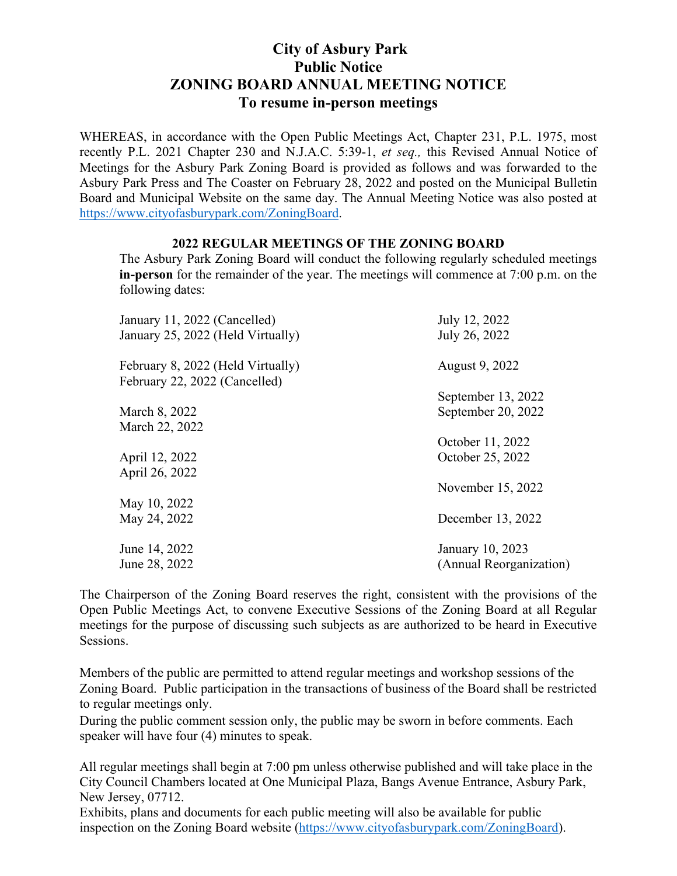## **City of Asbury Park Public Notice ZONING BOARD ANNUAL MEETING NOTICE To resume in-person meetings**

WHEREAS, in accordance with the Open Public Meetings Act, Chapter 231, P.L. 1975, most recently P.L. 2021 Chapter 230 and N.J.A.C. 5:39-1, *et seq.,* this Revised Annual Notice of Meetings for the Asbury Park Zoning Board is provided as follows and was forwarded to the Asbury Park Press and The Coaster on February 28, 2022 and posted on the Municipal Bulletin Board and Municipal Website on the same day. The Annual Meeting Notice was also posted at https://www.cityofasburypark.com/ZoningBoard.

## **2022 REGULAR MEETINGS OF THE ZONING BOARD**

The Asbury Park Zoning Board will conduct the following regularly scheduled meetings **in-person** for the remainder of the year. The meetings will commence at 7:00 p.m. on the following dates:

| January 11, 2022 (Cancelled)<br>January 25, 2022 (Held Virtually)  | July 12, 2022<br>July 26, 2022 |
|--------------------------------------------------------------------|--------------------------------|
| February 8, 2022 (Held Virtually)<br>February 22, 2022 (Cancelled) | August 9, 2022                 |
|                                                                    | September 13, 2022             |
| March 8, 2022                                                      | September 20, 2022             |
| March 22, 2022                                                     |                                |
|                                                                    | October 11, 2022               |
| April 12, 2022                                                     | October 25, 2022               |
| April 26, 2022                                                     |                                |
|                                                                    | November 15, 2022              |
| May 10, 2022                                                       |                                |
| May 24, 2022                                                       | December 13, 2022              |
|                                                                    |                                |
| June 14, 2022                                                      | January 10, 2023               |
| June 28, 2022                                                      | (Annual Reorganization)        |
|                                                                    |                                |

The Chairperson of the Zoning Board reserves the right, consistent with the provisions of the Open Public Meetings Act, to convene Executive Sessions of the Zoning Board at all Regular meetings for the purpose of discussing such subjects as are authorized to be heard in Executive Sessions.

Members of the public are permitted to attend regular meetings and workshop sessions of the Zoning Board. Public participation in the transactions of business of the Board shall be restricted to regular meetings only.

During the public comment session only, the public may be sworn in before comments. Each speaker will have four (4) minutes to speak.

All regular meetings shall begin at 7:00 pm unless otherwise published and will take place in the City Council Chambers located at One Municipal Plaza, Bangs Avenue Entrance, Asbury Park, New Jersey, 07712.

Exhibits, plans and documents for each public meeting will also be available for public inspection on the Zoning Board website (https://www.cityofasburypark.com/ZoningBoard).